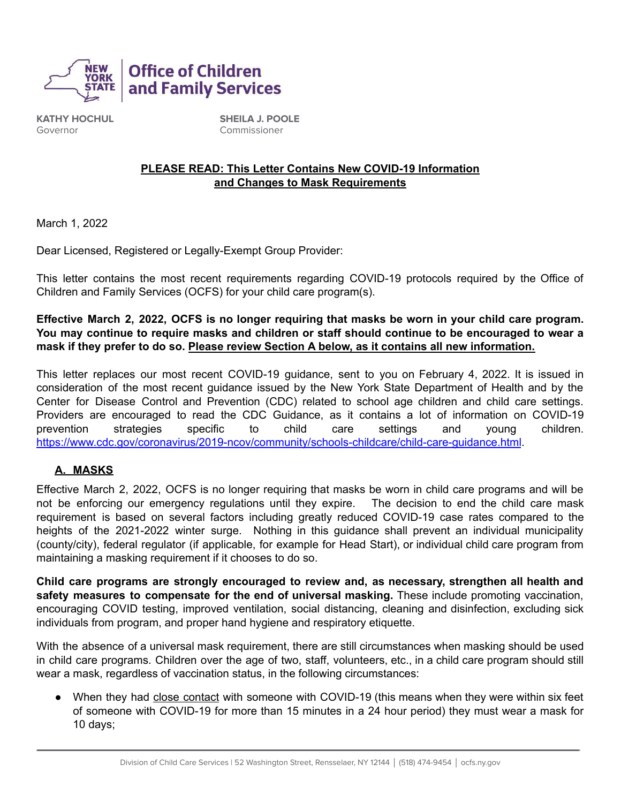

**KATHY HOCHUL** Governor

**SHEILA J. POOLE** Commissioner

### **PLEASE READ: This Letter Contains New COVID-19 Information and Changes to Mask Requirements**

March 1, 2022

Dear Licensed, Registered or Legally-Exempt Group Provider:

This letter contains the most recent requirements regarding COVID-19 protocols required by the Office of Children and Family Services (OCFS) for your child care program(s).

Effective March 2, 2022, OCFS is no longer requiring that masks be worn in your child care program. **You may continue to require masks and children or staff should continue to be encouraged to wear a mask if they prefer to do so. Please review Section A below, as it contains all new information.**

This letter replaces our most recent COVID-19 guidance, sent to you on February 4, 2022. It is issued in consideration of the most recent guidance issued by the New York State Department of Health and by the Center for Disease Control and Prevention (CDC) related to school age children and child care settings. Providers are encouraged to read the CDC Guidance, as it contains a lot of information on COVID-19 prevention strategies specific to child care settings and young children. <https://www.cdc.gov/coronavirus/2019-ncov/community/schools-childcare/child-care-guidance.html>.

### **A. MASKS**

Effective March 2, 2022, OCFS is no longer requiring that masks be worn in child care programs and will be not be enforcing our emergency regulations until they expire. The decision to end the child care mask requirement is based on several factors including greatly reduced COVID-19 case rates compared to the heights of the 2021-2022 winter surge. Nothing in this guidance shall prevent an individual municipality (county/city), federal regulator (if applicable, for example for Head Start), or individual child care program from maintaining a masking requirement if it chooses to do so.

**Child care programs are strongly encouraged to review and, as necessary, strengthen all health and safety measures to compensate for the end of universal masking.** These include promoting vaccination, encouraging COVID testing, improved ventilation, social distancing, cleaning and disinfection, excluding sick individuals from program, and proper hand hygiene and respiratory etiquette.

With the absence of a universal mask requirement, there are still circumstances when masking should be used in child care programs. Children over the age of two, staff, volunteers, etc., in a child care program should still wear a mask, regardless of vaccination status, in the following circumstances:

• When they had close contact with someone with COVID-19 (this means when they were within six feet of someone with COVID-19 for more than 15 minutes in a 24 hour period) they must wear a mask for 10 days;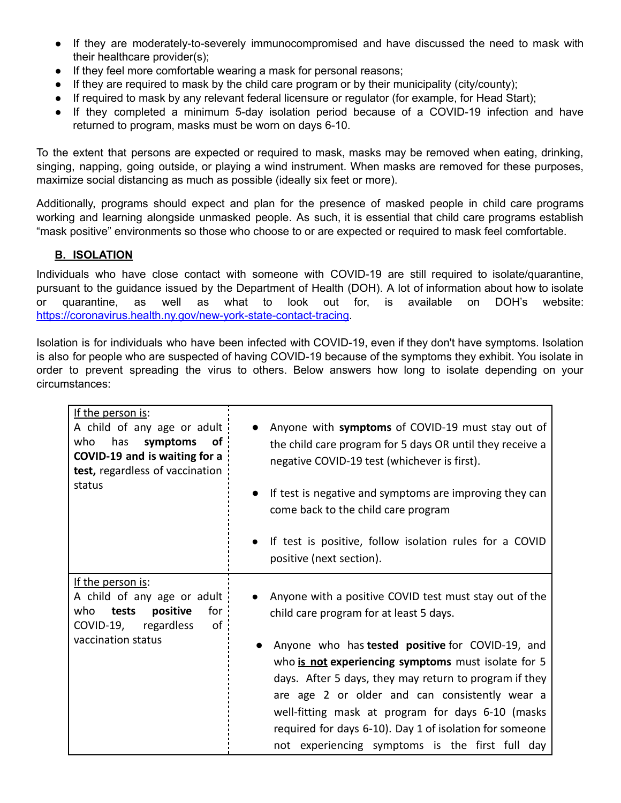- **●** If they are moderately-to-severely immunocompromised and have discussed the need to mask with their healthcare provider(s);
- **●** If they feel more comfortable wearing a mask for personal reasons;
- **●** If they are required to mask by the child care program or by their municipality (city/county);
- If required to mask by any relevant federal licensure or regulator (for example, for Head Start);
- If they completed a minimum 5-day isolation period because of a COVID-19 infection and have returned to program, masks must be worn on days 6-10.

To the extent that persons are expected or required to mask, masks may be removed when eating, drinking, singing, napping, going outside, or playing a wind instrument. When masks are removed for these purposes, maximize social distancing as much as possible (ideally six feet or more).

Additionally, programs should expect and plan for the presence of masked people in child care programs working and learning alongside unmasked people. As such, it is essential that child care programs establish "mask positive" environments so those who choose to or are expected or required to mask feel comfortable.

## **B. ISOLATION**

Individuals who have close contact with someone with COVID-19 are still required to isolate/quarantine, pursuant to the guidance issued by the Department of Health (DOH). A lot of information about how to isolate or quarantine, as well as what to look out for, is available on DOH's website: <https://coronavirus.health.ny.gov/new-york-state-contact-tracing>.

Isolation is for individuals who have been infected with COVID-19, even if they don't have symptoms. Isolation is also for people who are suspected of having COVID-19 because of the symptoms they exhibit. You isolate in order to prevent spreading the virus to others. Below answers how long to isolate depending on your circumstances:

| If the person is:<br>A child of any age or adult<br>has<br>of<br>who<br>symptoms<br>COVID-19 and is waiting for a<br>test, regardless of vaccination<br>status | Anyone with symptoms of COVID-19 must stay out of<br>the child care program for 5 days OR until they receive a<br>negative COVID-19 test (whichever is first).<br>If test is negative and symptoms are improving they can<br>$\bullet$<br>come back to the child care program<br>If test is positive, follow isolation rules for a COVID<br>positive (next section).                                                                                                                        |
|----------------------------------------------------------------------------------------------------------------------------------------------------------------|---------------------------------------------------------------------------------------------------------------------------------------------------------------------------------------------------------------------------------------------------------------------------------------------------------------------------------------------------------------------------------------------------------------------------------------------------------------------------------------------|
| If the person is:<br>A child of any age or adult<br>positive<br>for<br>who<br>tests<br>regardless<br>of<br>COVID-19,<br>vaccination status                     | Anyone with a positive COVID test must stay out of the<br>child care program for at least 5 days.<br>Anyone who has tested positive for COVID-19, and<br>who is not experiencing symptoms must isolate for 5<br>days. After 5 days, they may return to program if they<br>are age 2 or older and can consistently wear a<br>well-fitting mask at program for days 6-10 (masks<br>required for days 6-10). Day 1 of isolation for someone<br>not experiencing symptoms is the first full day |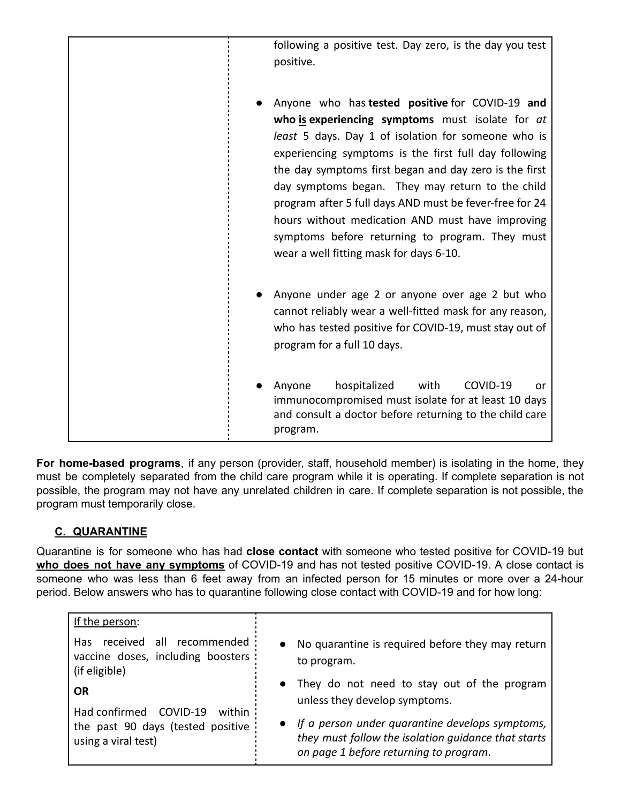| following a positive test. Day zero, is the day you test<br>positive.                                                                                                                                                                                                                                                                                                                                                                                                                                                                          |
|------------------------------------------------------------------------------------------------------------------------------------------------------------------------------------------------------------------------------------------------------------------------------------------------------------------------------------------------------------------------------------------------------------------------------------------------------------------------------------------------------------------------------------------------|
| Anyone who has tested positive for COVID-19 and<br>who is experiencing symptoms must isolate for at<br>least 5 days. Day 1 of isolation for someone who is<br>experiencing symptoms is the first full day following<br>the day symptoms first began and day zero is the first<br>day symptoms began. They may return to the child<br>program after 5 full days AND must be fever-free for 24<br>hours without medication AND must have improving<br>symptoms before returning to program. They must<br>wear a well fitting mask for days 6-10. |
| Anyone under age 2 or anyone over age 2 but who<br>cannot reliably wear a well-fitted mask for any reason,<br>who has tested positive for COVID-19, must stay out of<br>program for a full 10 days.                                                                                                                                                                                                                                                                                                                                            |
| hospitalized<br>with<br>COVID-19<br>Anyone<br>or<br>immunocompromised must isolate for at least 10 days<br>and consult a doctor before returning to the child care<br>program.                                                                                                                                                                                                                                                                                                                                                                 |

**For home-based programs**, if any person (provider, staff, household member) is isolating in the home, they must be completely separated from the child care program while it is operating. If complete separation is not possible, the program may not have any unrelated children in care. If complete separation is not possible, the program must temporarily close.

# **C. QUARANTINE**

Quarantine is for someone who has had **close contact** with someone who tested positive for COVID-19 but **who does not have any symptoms** of COVID-19 and has not tested positive COVID-19. A close contact is someone who was less than 6 feet away from an infected person for 15 minutes or more over a 24-hour period. Below answers who has to quarantine following close contact with COVID-19 and for how long:

| If the person:                                                                                            |                                                                                                                                                  |
|-----------------------------------------------------------------------------------------------------------|--------------------------------------------------------------------------------------------------------------------------------------------------|
| received all recommended<br>Has.<br>vaccine doses, including boosters :<br>(if eligible)                  | • No quarantine is required before they may return<br>to program.                                                                                |
| <b>OR</b><br>Had confirmed COVID-19<br>within<br>the past 90 days (tested positive<br>using a viral test) | • They do not need to stay out of the program<br>unless they develop symptoms.                                                                   |
|                                                                                                           | If a person under quarantine develops symptoms,<br>they must follow the isolation guidance that starts<br>on page 1 before returning to program. |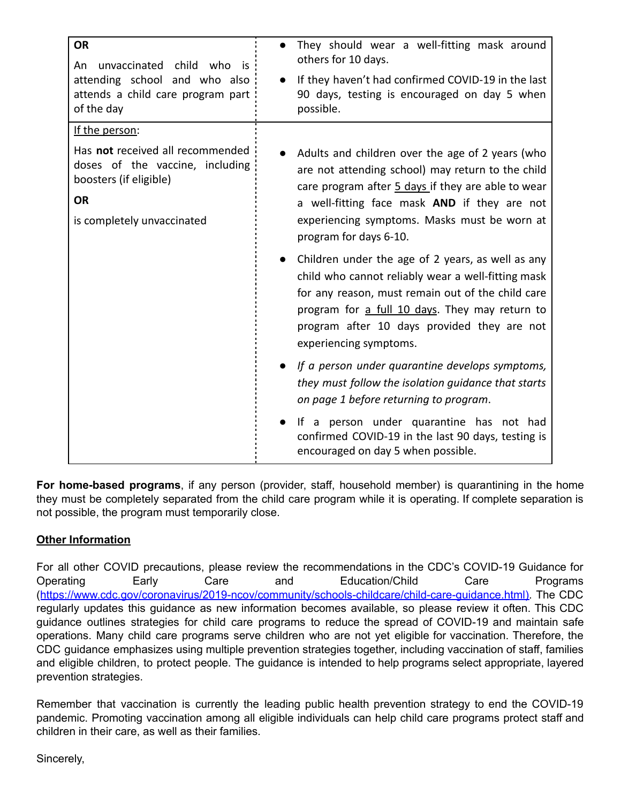| <b>OR</b><br>unvaccinated child who is<br>An<br>attending school and who also<br>attends a child care program part<br>of the day                           | They should wear a well-fitting mask around<br>others for 10 days.<br>If they haven't had confirmed COVID-19 in the last<br>90 days, testing is encouraged on day 5 when<br>possible.                                                                                                                                                                                                                                                                                                                                                                                                                                                                                                                                                                                                                                                                                        |
|------------------------------------------------------------------------------------------------------------------------------------------------------------|------------------------------------------------------------------------------------------------------------------------------------------------------------------------------------------------------------------------------------------------------------------------------------------------------------------------------------------------------------------------------------------------------------------------------------------------------------------------------------------------------------------------------------------------------------------------------------------------------------------------------------------------------------------------------------------------------------------------------------------------------------------------------------------------------------------------------------------------------------------------------|
| If the person:<br>Has not received all recommended<br>doses of the vaccine, including<br>boosters (if eligible)<br><b>OR</b><br>is completely unvaccinated | Adults and children over the age of 2 years (who<br>are not attending school) may return to the child<br>care program after 5 days if they are able to wear<br>a well-fitting face mask AND if they are not<br>experiencing symptoms. Masks must be worn at<br>program for days 6-10.<br>Children under the age of 2 years, as well as any<br>child who cannot reliably wear a well-fitting mask<br>for any reason, must remain out of the child care<br>program for a full 10 days. They may return to<br>program after 10 days provided they are not<br>experiencing symptoms.<br>If a person under quarantine develops symptoms,<br>they must follow the isolation guidance that starts<br>on page 1 before returning to program.<br>If a person under quarantine has not had<br>confirmed COVID-19 in the last 90 days, testing is<br>encouraged on day 5 when possible. |

**For home-based programs**, if any person (provider, staff, household member) is quarantining in the home they must be completely separated from the child care program while it is operating. If complete separation is not possible, the program must temporarily close.

## **Other Information**

For all other COVID precautions, please review the recommendations in the CDC's COVID-19 Guidance for Operating Early Care and Education/Child Care Programs (<https://www.cdc.gov/coronavirus/2019-ncov/community/schools-childcare/child-care-guidance.html>). The CDC regularly updates this guidance as new information becomes available, so please review it often. This CDC guidance outlines strategies for child care programs to reduce the spread of COVID-19 and maintain safe operations. Many child care programs serve children who are not yet eligible for vaccination. Therefore, the CDC guidance emphasizes using multiple prevention strategies together, including vaccination of staff, families and eligible children, to protect people. The guidance is intended to help programs select appropriate, layered prevention strategies.

Remember that vaccination is currently the leading public health prevention strategy to end the COVID-19 pandemic. Promoting vaccination among all eligible individuals can help child care programs protect staff and children in their care, as well as their families.

Sincerely,